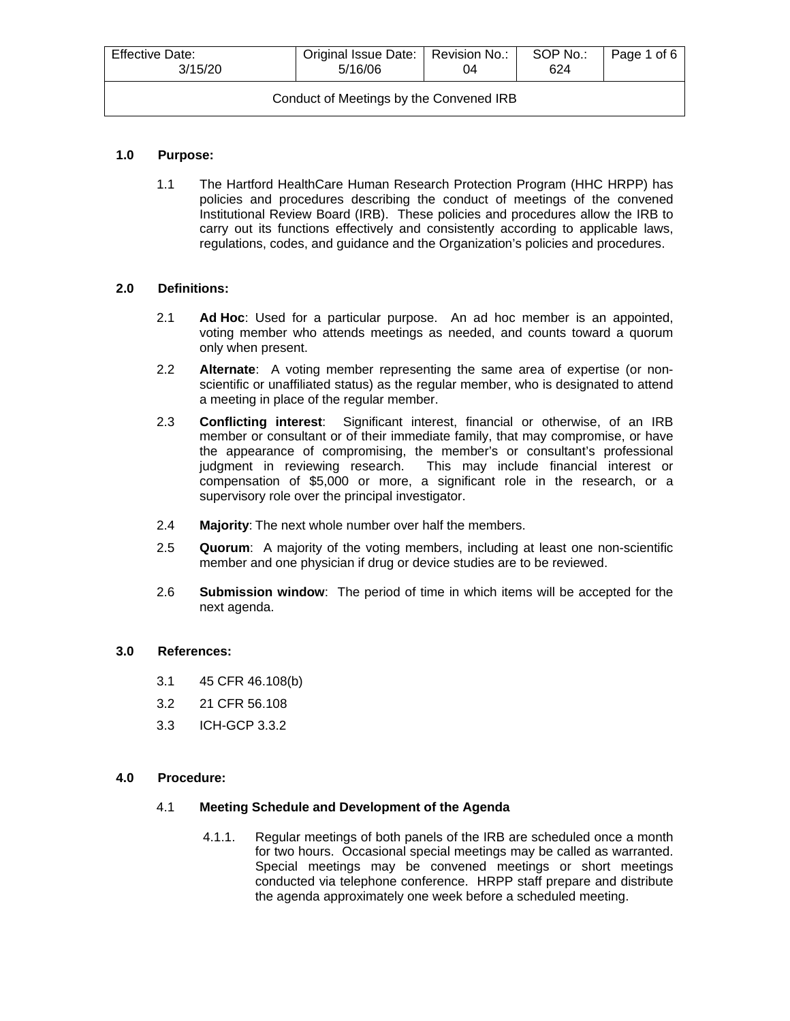| <b>Effective Date:</b><br>3/15/20       | Original Issue Date:   Revision No.:<br>5/16/06 | 04 | SOP No.:<br>624 | Page 1 of 6 |
|-----------------------------------------|-------------------------------------------------|----|-----------------|-------------|
| Conduct of Meetings by the Convened IRB |                                                 |    |                 |             |

## **1.0 Purpose:**

1.1 The Hartford HealthCare Human Research Protection Program (HHC HRPP) has policies and procedures describing the conduct of meetings of the convened Institutional Review Board (IRB). These policies and procedures allow the IRB to carry out its functions effectively and consistently according to applicable laws, regulations, codes, and guidance and the Organization's policies and procedures.

## **2.0 Definitions:**

- 2.1 **Ad Hoc**: Used for a particular purpose. An ad hoc member is an appointed, voting member who attends meetings as needed, and counts toward a quorum only when present.
- 2.2 **Alternate**: A voting member representing the same area of expertise (or nonscientific or unaffiliated status) as the regular member, who is designated to attend a meeting in place of the regular member.
- 2.3 **Conflicting interest**: Significant interest, financial or otherwise, of an IRB member or consultant or of their immediate family, that may compromise, or have the appearance of compromising, the member's or consultant's professional judgment in reviewing research. This may include financial interest or compensation of \$5,000 or more, a significant role in the research, or a supervisory role over the principal investigator.
- 2.4 **Majority**: The next whole number over half the members.
- 2.5 **Quorum**: A majority of the voting members, including at least one non-scientific member and one physician if drug or device studies are to be reviewed.
- 2.6 **Submission window**: The period of time in which items will be accepted for the next agenda.

## **3.0 References:**

- 3.1 45 CFR 46.108(b)
- 3.2 21 CFR 56.108
- 3.3 ICH-GCP 3.3.2

#### **4.0 Procedure:**

#### 4.1 **Meeting Schedule and Development of the Agenda**

4.1.1. Regular meetings of both panels of the IRB are scheduled once a month for two hours. Occasional special meetings may be called as warranted. Special meetings may be convened meetings or short meetings conducted via telephone conference. HRPP staff prepare and distribute the agenda approximately one week before a scheduled meeting.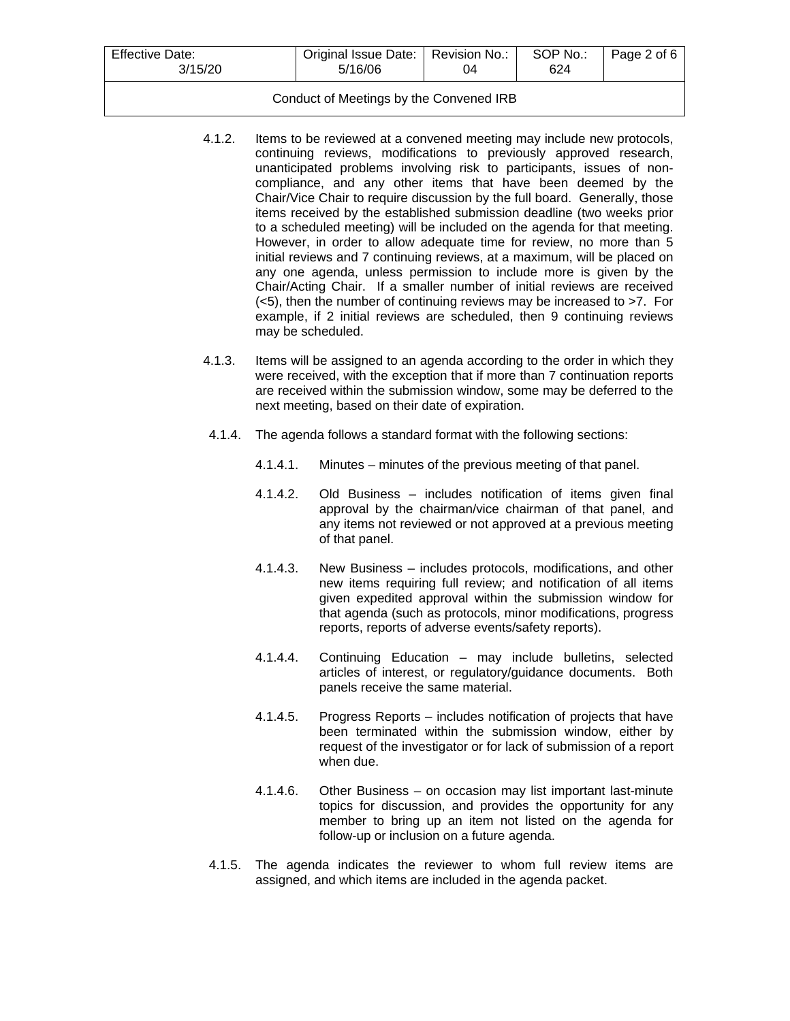| Effective Date:<br>3/15/20 | Original Issue Date:   Revision No.:<br>5/16/06 | ገ4 | SOP No.:<br>624 | Page 2 of 6 |
|----------------------------|-------------------------------------------------|----|-----------------|-------------|
|                            |                                                 |    |                 |             |

## Conduct of Meetings by the Convened IRB

- 4.1.2. Items to be reviewed at a convened meeting may include new protocols, continuing reviews, modifications to previously approved research, unanticipated problems involving risk to participants, issues of noncompliance, and any other items that have been deemed by the Chair/Vice Chair to require discussion by the full board. Generally, those items received by the established submission deadline (two weeks prior to a scheduled meeting) will be included on the agenda for that meeting. However, in order to allow adequate time for review, no more than 5 initial reviews and 7 continuing reviews, at a maximum, will be placed on any one agenda, unless permission to include more is given by the Chair/Acting Chair. If a smaller number of initial reviews are received (<5), then the number of continuing reviews may be increased to >7. For example, if 2 initial reviews are scheduled, then 9 continuing reviews may be scheduled.
- 4.1.3. Items will be assigned to an agenda according to the order in which they were received, with the exception that if more than 7 continuation reports are received within the submission window, some may be deferred to the next meeting, based on their date of expiration.
- 4.1.4. The agenda follows a standard format with the following sections:
	- 4.1.4.1. Minutes minutes of the previous meeting of that panel.
	- 4.1.4.2. Old Business includes notification of items given final approval by the chairman/vice chairman of that panel, and any items not reviewed or not approved at a previous meeting of that panel.
	- 4.1.4.3. New Business includes protocols, modifications, and other new items requiring full review; and notification of all items given expedited approval within the submission window for that agenda (such as protocols, minor modifications, progress reports, reports of adverse events/safety reports).
	- 4.1.4.4. Continuing Education may include bulletins, selected articles of interest, or regulatory/guidance documents. Both panels receive the same material.
	- 4.1.4.5. Progress Reports includes notification of projects that have been terminated within the submission window, either by request of the investigator or for lack of submission of a report when due.
	- 4.1.4.6. Other Business on occasion may list important last-minute topics for discussion, and provides the opportunity for any member to bring up an item not listed on the agenda for follow-up or inclusion on a future agenda.
- 4.1.5. The agenda indicates the reviewer to whom full review items are assigned, and which items are included in the agenda packet.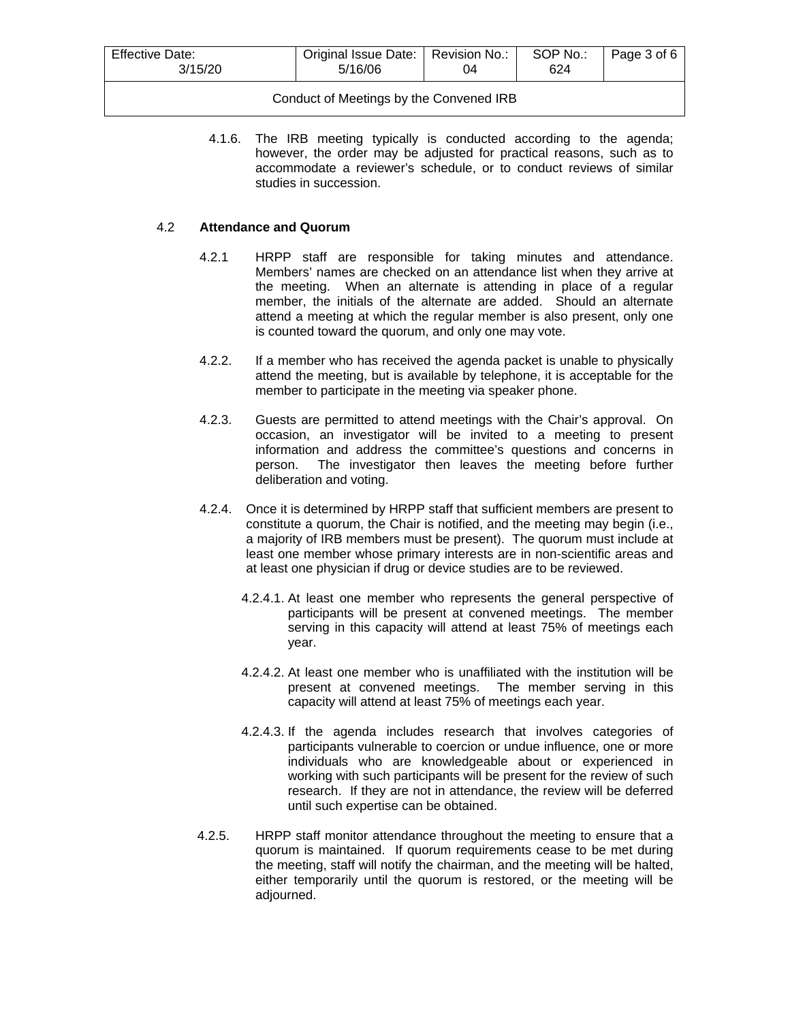| <b>Effective Date:</b><br>3/15/20 | Original Issue Date:   Revision No.:<br>5/16/06 | 04 | SOP No.:<br>624 | Page 3 of 6 |
|-----------------------------------|-------------------------------------------------|----|-----------------|-------------|
|                                   |                                                 |    |                 |             |

## Conduct of Meetings by the Convened IRB

4.1.6. The IRB meeting typically is conducted according to the agenda; however, the order may be adjusted for practical reasons, such as to accommodate a reviewer's schedule, or to conduct reviews of similar studies in succession.

## 4.2 **Attendance and Quorum**

- 4.2.1 HRPP staff are responsible for taking minutes and attendance. Members' names are checked on an attendance list when they arrive at the meeting. When an alternate is attending in place of a regular member, the initials of the alternate are added. Should an alternate attend a meeting at which the regular member is also present, only one is counted toward the quorum, and only one may vote.
- 4.2.2. If a member who has received the agenda packet is unable to physically attend the meeting, but is available by telephone, it is acceptable for the member to participate in the meeting via speaker phone.
- 4.2.3. Guests are permitted to attend meetings with the Chair's approval. On occasion, an investigator will be invited to a meeting to present information and address the committee's questions and concerns in person. The investigator then leaves the meeting before further deliberation and voting.
- 4.2.4. Once it is determined by HRPP staff that sufficient members are present to constitute a quorum, the Chair is notified, and the meeting may begin (i.e., a majority of IRB members must be present). The quorum must include at least one member whose primary interests are in non-scientific areas and at least one physician if drug or device studies are to be reviewed.
	- 4.2.4.1. At least one member who represents the general perspective of participants will be present at convened meetings. The member serving in this capacity will attend at least 75% of meetings each year.
	- 4.2.4.2. At least one member who is unaffiliated with the institution will be present at convened meetings. The member serving in this capacity will attend at least 75% of meetings each year.
	- 4.2.4.3. If the agenda includes research that involves categories of participants vulnerable to coercion or undue influence, one or more individuals who are knowledgeable about or experienced in working with such participants will be present for the review of such research. If they are not in attendance, the review will be deferred until such expertise can be obtained.
- 4.2.5. HRPP staff monitor attendance throughout the meeting to ensure that a quorum is maintained. If quorum requirements cease to be met during the meeting, staff will notify the chairman, and the meeting will be halted, either temporarily until the quorum is restored, or the meeting will be adjourned.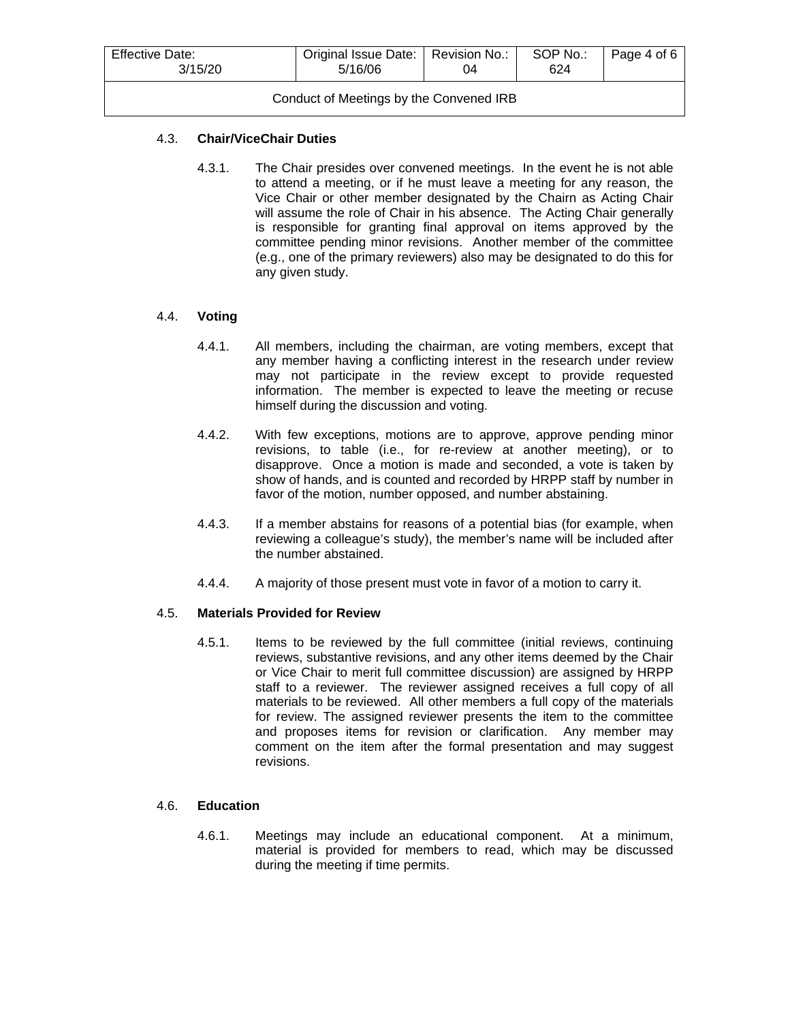| <b>Effective Date:</b><br>3/15/20       | Original Issue Date:   Revision No.:<br>5/16/06 | 04 | SOP No.:<br>624 | Page 4 of 6 |  |
|-----------------------------------------|-------------------------------------------------|----|-----------------|-------------|--|
| Conduct of Meetings by the Convened IRB |                                                 |    |                 |             |  |

## 4.3. **Chair/ViceChair Duties**

4.3.1. The Chair presides over convened meetings. In the event he is not able to attend a meeting, or if he must leave a meeting for any reason, the Vice Chair or other member designated by the Chairn as Acting Chair will assume the role of Chair in his absence. The Acting Chair generally is responsible for granting final approval on items approved by the committee pending minor revisions. Another member of the committee (e.g., one of the primary reviewers) also may be designated to do this for any given study.

# 4.4. **Voting**

- 4.4.1. All members, including the chairman, are voting members, except that any member having a conflicting interest in the research under review may not participate in the review except to provide requested information. The member is expected to leave the meeting or recuse himself during the discussion and voting.
- 4.4.2. With few exceptions, motions are to approve, approve pending minor revisions, to table (i.e., for re-review at another meeting), or to disapprove. Once a motion is made and seconded, a vote is taken by show of hands, and is counted and recorded by HRPP staff by number in favor of the motion, number opposed, and number abstaining.
- 4.4.3. If a member abstains for reasons of a potential bias (for example, when reviewing a colleague's study), the member's name will be included after the number abstained.
- 4.4.4. A majority of those present must vote in favor of a motion to carry it.

#### 4.5. **Materials Provided for Review**

4.5.1. Items to be reviewed by the full committee (initial reviews, continuing reviews, substantive revisions, and any other items deemed by the Chair or Vice Chair to merit full committee discussion) are assigned by HRPP staff to a reviewer. The reviewer assigned receives a full copy of all materials to be reviewed. All other members a full copy of the materials for review. The assigned reviewer presents the item to the committee and proposes items for revision or clarification. Any member may comment on the item after the formal presentation and may suggest revisions.

#### 4.6. **Education**

4.6.1. Meetings may include an educational component. At a minimum, material is provided for members to read, which may be discussed during the meeting if time permits.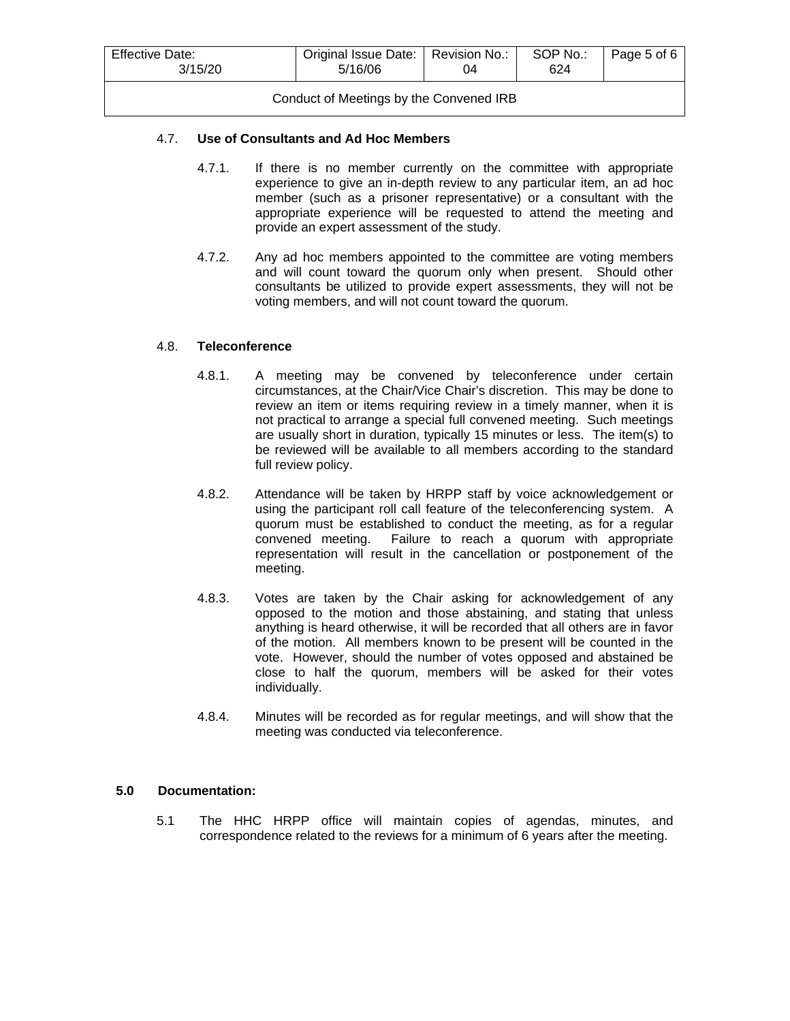| <b>Effective Date:</b><br>3/15/20       | Original Issue Date:   Revision No.:<br>5/16/06 | 04 | SOP No.:<br>624 | Page 5 of 6 |
|-----------------------------------------|-------------------------------------------------|----|-----------------|-------------|
| Conduct of Meetings by the Convened IRB |                                                 |    |                 |             |

## 4.7. **Use of Consultants and Ad Hoc Members**

- 4.7.1. If there is no member currently on the committee with appropriate experience to give an in-depth review to any particular item, an ad hoc member (such as a prisoner representative) or a consultant with the appropriate experience will be requested to attend the meeting and provide an expert assessment of the study.
- 4.7.2. Any ad hoc members appointed to the committee are voting members and will count toward the quorum only when present. Should other consultants be utilized to provide expert assessments, they will not be voting members, and will not count toward the quorum.

## 4.8. **Teleconference**

- 4.8.1. A meeting may be convened by teleconference under certain circumstances, at the Chair/Vice Chair's discretion. This may be done to review an item or items requiring review in a timely manner, when it is not practical to arrange a special full convened meeting. Such meetings are usually short in duration, typically 15 minutes or less. The item(s) to be reviewed will be available to all members according to the standard full review policy.
- 4.8.2. Attendance will be taken by HRPP staff by voice acknowledgement or using the participant roll call feature of the teleconferencing system. A quorum must be established to conduct the meeting, as for a regular convened meeting. Failure to reach a quorum with appropriate representation will result in the cancellation or postponement of the meeting.
- 4.8.3. Votes are taken by the Chair asking for acknowledgement of any opposed to the motion and those abstaining, and stating that unless anything is heard otherwise, it will be recorded that all others are in favor of the motion. All members known to be present will be counted in the vote. However, should the number of votes opposed and abstained be close to half the quorum, members will be asked for their votes individually.
- 4.8.4. Minutes will be recorded as for regular meetings, and will show that the meeting was conducted via teleconference.

# **5.0 Documentation:**

5.1 The HHC HRPP office will maintain copies of agendas, minutes, and correspondence related to the reviews for a minimum of 6 years after the meeting.